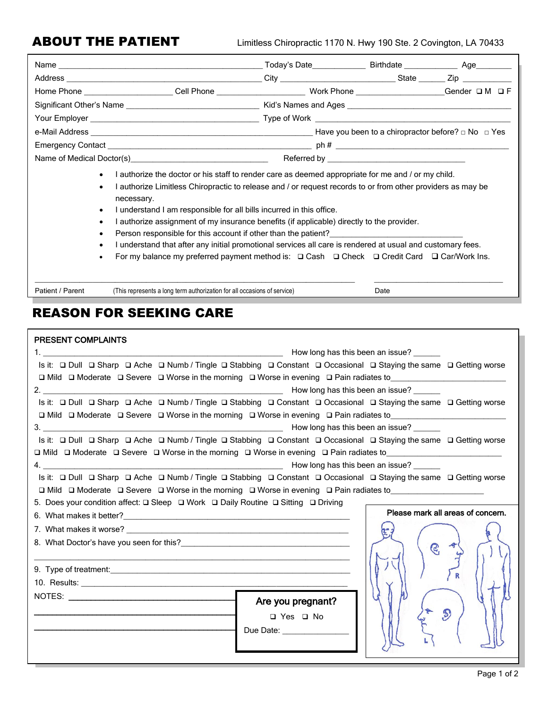|                                                                                                  |  | Today's Date                                                                                         | Birthdate ____________ | Age________                                                                                                   |  |  |
|--------------------------------------------------------------------------------------------------|--|------------------------------------------------------------------------------------------------------|------------------------|---------------------------------------------------------------------------------------------------------------|--|--|
|                                                                                                  |  |                                                                                                      | State                  | Zip and the second second second second second second second second second second second second second second |  |  |
|                                                                                                  |  | Home Phone __________________________Cell Phone ________________________________ Work Phone ________ |                        | Gender $\Box$ M $\Box$ F                                                                                      |  |  |
|                                                                                                  |  |                                                                                                      |                        |                                                                                                               |  |  |
|                                                                                                  |  |                                                                                                      |                        |                                                                                                               |  |  |
|                                                                                                  |  | Have you been to a chiropractor before? $\Box$ No $\Box$ Yes                                         |                        |                                                                                                               |  |  |
|                                                                                                  |  |                                                                                                      | $ph \#$                |                                                                                                               |  |  |
| Name of Medical Doctor(s) Name of Medical Doctor(s)<br>Referred by <b>Executive Section 2008</b> |  |                                                                                                      |                        |                                                                                                               |  |  |

- I authorize the doctor or his staff to render care as deemed appropriate for me and / or my child.
	- I authorize Limitless Chiropractic to release and / or request records to or from other providers as may be necessary.
- I understand I am responsible for all bills incurred in this office.
- I authorize assignment of my insurance benefits (if applicable) directly to the provider.
- Person responsible for this account if other than the patient?
- I understand that after any initial promotional services all care is rendered at usual and customary fees.
- For my balance my preferred payment method is: ❑ Cash ❑ Check ❑ Credit Card ❑ Car/Work Ins.

Patient / Parent (This represents a long term authorization for all occasions of service) Date

 $\_$  , and the state of the state of the state of the state of the state of the state of the state of the state of the state of the state of the state of the state of the state of the state of the state of the state of the

# REASON FOR SEEKING CARE

| <b>PRESENT COMPLAINTS</b>                                                                                                                                                                  |               |                                   |
|--------------------------------------------------------------------------------------------------------------------------------------------------------------------------------------------|---------------|-----------------------------------|
|                                                                                                                                                                                            |               |                                   |
| Is it: $\square$ Dull $\square$ Sharp $\square$ Ache $\square$ Numb / Tingle $\square$ Stabbing $\square$ Constant $\square$ Occasional $\square$ Staying the same $\square$ Getting worse |               |                                   |
| $\Box$ Mild $\Box$ Moderate $\Box$ Severe $\Box$ Worse in the morning $\Box$ Worse in evening $\Box$ Pain radiates to                                                                      |               |                                   |
|                                                                                                                                                                                            |               |                                   |
| Is it: $\square$ Dull $\square$ Sharp $\square$ Ache $\square$ Numb / Tingle $\square$ Stabbing $\square$ Constant $\square$ Occasional $\square$ Staying the same $\square$ Getting worse |               |                                   |
| $\Box$ Mild $\Box$ Moderate $\Box$ Severe $\Box$ Worse in the morning $\Box$ Worse in evening $\Box$ Pain radiates to                                                                      |               |                                   |
|                                                                                                                                                                                            |               |                                   |
| Is it: $\square$ Dull $\square$ Sharp $\square$ Ache $\square$ Numb / Tingle $\square$ Stabbing $\square$ Constant $\square$ Occasional $\square$ Staying the same $\square$ Getting worse |               |                                   |
| □ Mild □ Moderate □ Severe □ Worse in the morning □ Worse in evening □ Pain radiates to__________________                                                                                  |               |                                   |
|                                                                                                                                                                                            |               |                                   |
| Is it:  □ Dull  □ Sharp  □ Ache  □ Numb / Tingle □ Stabbing □ Constant □ Occasional □ Staying the same □ Getting worse                                                                     |               |                                   |
| $\Box$ Mild $\Box$ Moderate $\Box$ Severe $\Box$ Worse in the morning $\Box$ Worse in evening $\Box$ Pain radiates to                                                                      |               |                                   |
| 5. Does your condition affect: $\square$ Sleep $\square$ Work $\square$ Daily Routine $\square$ Sitting $\square$ Driving                                                                  |               |                                   |
|                                                                                                                                                                                            |               | Please mark all areas of concern. |
|                                                                                                                                                                                            |               |                                   |
|                                                                                                                                                                                            | $\mathcal{C}$ |                                   |
| <u> 1989 - Johann Stoff, fransk politik (d. 1989)</u>                                                                                                                                      |               |                                   |
|                                                                                                                                                                                            |               |                                   |
|                                                                                                                                                                                            |               |                                   |
|                                                                                                                                                                                            |               |                                   |
| Are you pregnant?                                                                                                                                                                          |               |                                   |
| □ Yes □ No                                                                                                                                                                                 |               | $\mathcal{P}$                     |
| Due Date: <u>___________________</u>                                                                                                                                                       |               |                                   |
|                                                                                                                                                                                            |               |                                   |
|                                                                                                                                                                                            |               |                                   |

 $\overline{\phantom{a}}$